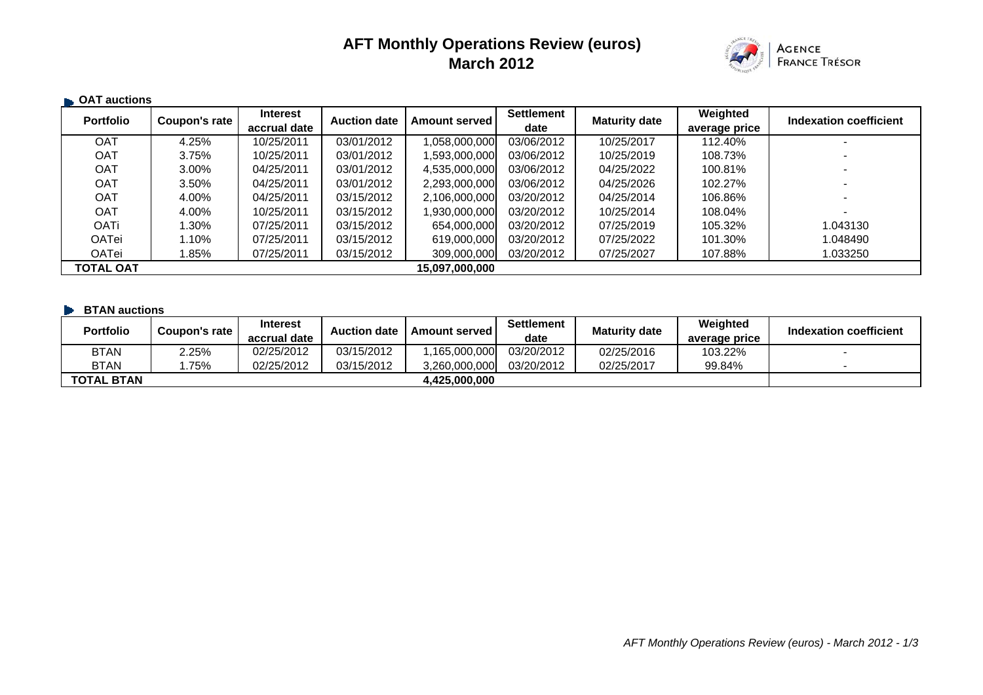# **AFT Monthly Operations Review (euros) March 2012**



| <b>CAT auctions</b> |               |                 |                     |                      |                   |                      |               |                        |
|---------------------|---------------|-----------------|---------------------|----------------------|-------------------|----------------------|---------------|------------------------|
| <b>Portfolio</b>    | Coupon's rate | <b>Interest</b> | <b>Auction date</b> | <b>Amount served</b> | <b>Settlement</b> | <b>Maturity date</b> | Weighted      | Indexation coefficient |
|                     |               | accrual date    |                     |                      | date              |                      | average price |                        |
| <b>OAT</b>          | 4.25%         | 10/25/2011      | 03/01/2012          | 058,000,000,000,     | 03/06/2012        | 10/25/2017           | 112.40%       |                        |
| <b>OAT</b>          | 3.75%         | 10/25/2011      | 03/01/2012          | ,593,000,000         | 03/06/2012        | 10/25/2019           | 108.73%       |                        |
| <b>OAT</b>          | 3.00%         | 04/25/2011      | 03/01/2012          | 4,535,000,000        | 03/06/2012        | 04/25/2022           | 100.81%       |                        |
| <b>OAT</b>          | 3.50%         | 04/25/2011      | 03/01/2012          | 2,293,000,000        | 03/06/2012        | 04/25/2026           | 102.27%       |                        |
| <b>OAT</b>          | 4.00%         | 04/25/2011      | 03/15/2012          | 2,106,000,000        | 03/20/2012        | 04/25/2014           | 106.86%       |                        |
| <b>OAT</b>          | 4.00%         | 10/25/2011      | 03/15/2012          | .930.000.000         | 03/20/2012        | 10/25/2014           | 108.04%       | $\sim$                 |
| <b>OATi</b>         | $.30\%$       | 07/25/2011      | 03/15/2012          | 654.000.000          | 03/20/2012        | 07/25/2019           | 105.32%       | 1.043130               |
| <b>OATei</b>        | 1.10%         | 07/25/2011      | 03/15/2012          | 619,000,000          | 03/20/2012        | 07/25/2022           | 101.30%       | 1.048490               |
| OATei               | $.85\%$       | 07/25/2011      | 03/15/2012          | 309,000,000          | 03/20/2012        | 07/25/2027           | 107.88%       | 1.033250               |
| <b>TOTAL OAT</b>    |               |                 |                     | 15,097,000,000       |                   |                      |               |                        |

#### **BTAN auctions**

| <b>Portfolio</b>  | Coupon's rate | <b>Interest</b><br>accrual date | <b>Auction date</b> | <b>Amount served I</b> | <b>Settlement</b><br>date | <b>Maturity date</b> | Weighted<br>average price | Indexation coefficient |
|-------------------|---------------|---------------------------------|---------------------|------------------------|---------------------------|----------------------|---------------------------|------------------------|
| <b>BTAN</b>       | 2.25%         | 02/25/2012                      | 03/15/2012          | .165.000.000           | 03/20/2012                | 02/25/2016           | 103.22%                   |                        |
| <b>BTAN</b>       | 75%           | 02/25/2012                      | 03/15/2012          | 3.260.000.000          | 03/20/2012                | 02/25/2017           | 99.84%                    |                        |
| <b>TOTAL BTAN</b> |               |                                 |                     | 4.425.000.000          |                           |                      |                           |                        |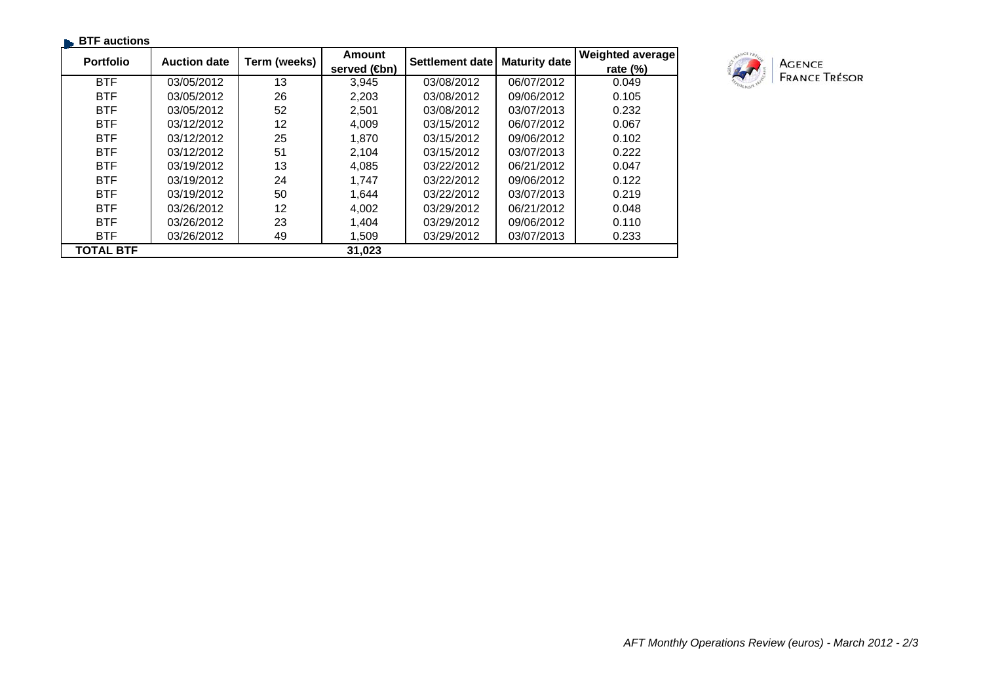| $\blacksquare$ BTF auctions |                     |              |               |                 |                      |                  |
|-----------------------------|---------------------|--------------|---------------|-----------------|----------------------|------------------|
| <b>Portfolio</b>            | <b>Auction date</b> | Term (weeks) | <b>Amount</b> | Settlement date | <b>Maturity date</b> | Weighted average |
|                             |                     |              | served (sm)   |                 |                      | rate $(%)$       |
| <b>BTF</b>                  | 03/05/2012          | 13           | 3,945         | 03/08/2012      | 06/07/2012           | 0.049            |
| <b>BTF</b>                  | 03/05/2012          | 26           | 2,203         | 03/08/2012      | 09/06/2012           | 0.105            |
| <b>BTF</b>                  | 03/05/2012          | 52           | 2,501         | 03/08/2012      | 03/07/2013           | 0.232            |
| <b>BTF</b>                  | 03/12/2012          | 12           | 4,009         | 03/15/2012      | 06/07/2012           | 0.067            |
| <b>BTF</b>                  | 03/12/2012          | 25           | 1,870         | 03/15/2012      | 09/06/2012           | 0.102            |
| <b>BTF</b>                  | 03/12/2012          | 51           | 2,104         | 03/15/2012      | 03/07/2013           | 0.222            |
| <b>BTF</b>                  | 03/19/2012          | 13           | 4,085         | 03/22/2012      | 06/21/2012           | 0.047            |
| <b>BTF</b>                  | 03/19/2012          | 24           | 1.747         | 03/22/2012      | 09/06/2012           | 0.122            |
| <b>BTF</b>                  | 03/19/2012          | 50           | 1,644         | 03/22/2012      | 03/07/2013           | 0.219            |
| <b>BTF</b>                  | 03/26/2012          | 12           | 4,002         | 03/29/2012      | 06/21/2012           | 0.048            |
| <b>BTF</b>                  | 03/26/2012          | 23           | 1,404         | 03/29/2012      | 09/06/2012           | 0.110            |
| <b>BTF</b>                  | 03/26/2012          | 49           | 1,509         | 03/29/2012      | 03/07/2013           | 0.233            |
| <b>TOTAL BTF</b>            |                     |              | 31,023        |                 |                      |                  |